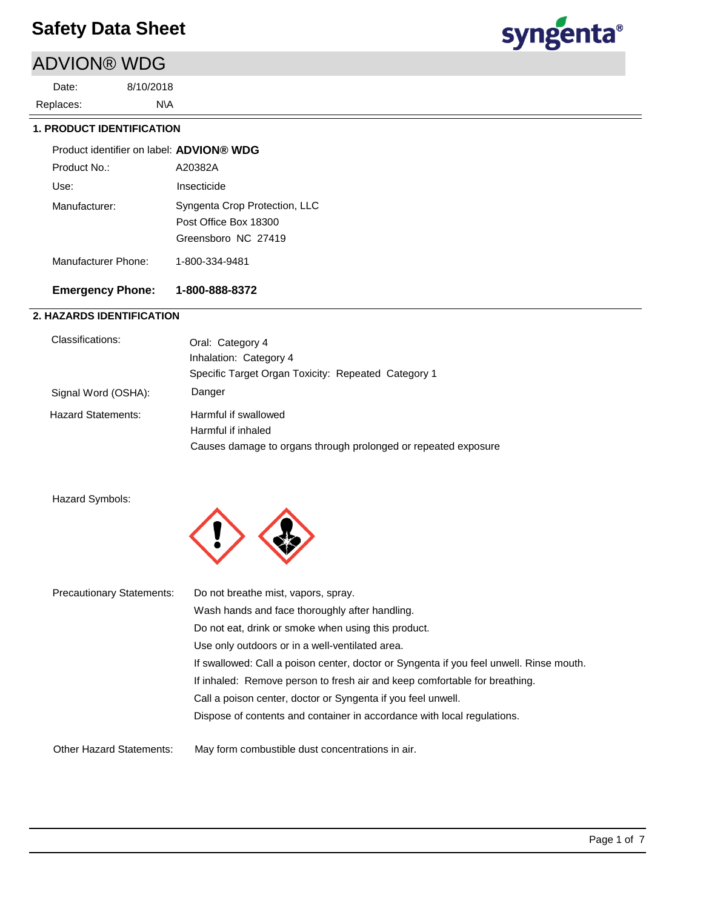# ADVION® WDG

N\A 8/10/2018 Replaces: Date:



## **1. PRODUCT IDENTIFICATION**

| Product identifier on label: ADVION® WDG |                                                                               |
|------------------------------------------|-------------------------------------------------------------------------------|
| Product No.:                             | A20382A                                                                       |
| Use:                                     | Insecticide                                                                   |
| Manufacturer:                            | Syngenta Crop Protection, LLC<br>Post Office Box 18300<br>Greensboro NC 27419 |
| Manufacturer Phone:                      | 1-800-334-9481                                                                |

## **Emergency Phone: 1-800-888-8372**

## **2. HAZARDS IDENTIFICATION**

| Classifications:          | Oral: Category 4                                               |
|---------------------------|----------------------------------------------------------------|
|                           | Inhalation: Category 4                                         |
|                           | Specific Target Organ Toxicity: Repeated Category 1            |
| Signal Word (OSHA):       | Danger                                                         |
| <b>Hazard Statements:</b> | Harmful if swallowed                                           |
|                           | Harmful if inhaled                                             |
|                           | Causes damage to organs through prolonged or repeated exposure |
|                           |                                                                |

#### Hazard Symbols:



| <b>Precautionary Statements:</b> | Do not breathe mist, vapors, spray.                                                     |
|----------------------------------|-----------------------------------------------------------------------------------------|
|                                  | Wash hands and face thoroughly after handling.                                          |
|                                  | Do not eat, drink or smoke when using this product.                                     |
|                                  | Use only outdoors or in a well-ventilated area.                                         |
|                                  | If swallowed: Call a poison center, doctor or Syngenta if you feel unwell. Rinse mouth. |
|                                  | If inhaled: Remove person to fresh air and keep comfortable for breathing.              |
|                                  | Call a poison center, doctor or Syngenta if you feel unwell.                            |
|                                  | Dispose of contents and container in accordance with local regulations.                 |
| <b>Other Hazard Statements:</b>  | May form combustible dust concentrations in air.                                        |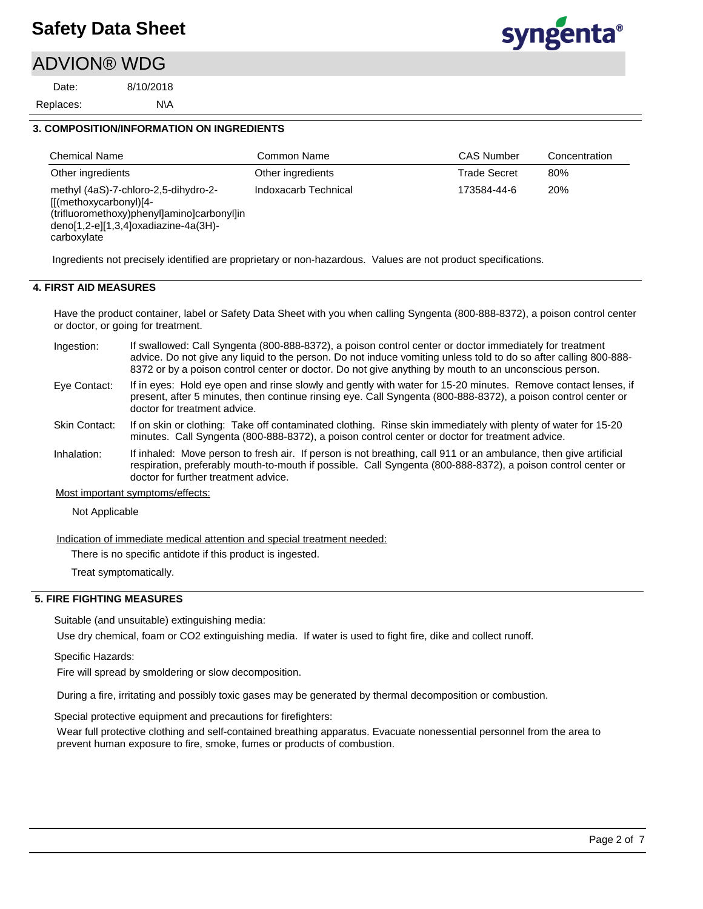## ADVION® WDG

N\A 8/10/2018 Replaces: Date:



#### **3. COMPOSITION/INFORMATION ON INGREDIENTS**

| <b>Chemical Name</b>                                                                                                                                                     | Common Name          | <b>CAS Number</b>   | Concentration |
|--------------------------------------------------------------------------------------------------------------------------------------------------------------------------|----------------------|---------------------|---------------|
| Other ingredients                                                                                                                                                        | Other ingredients    | <b>Trade Secret</b> | 80%           |
| methyl (4aS)-7-chloro-2,5-dihydro-2-<br>$[[(methoxycarbonyl)]4-$<br>(trifluoromethoxy)phenyl]amino]carbonyl]in<br>$deno[1,2-e][1,3,4]$ oxadiazine-4a(3H)-<br>carboxylate | Indoxacarb Technical | 173584-44-6         | 20%           |

Ingredients not precisely identified are proprietary or non-hazardous. Values are not product specifications.

#### **4. FIRST AID MEASURES**

Have the product container, label or Safety Data Sheet with you when calling Syngenta (800-888-8372), a poison control center or doctor, or going for treatment.

- If swallowed: Call Syngenta (800-888-8372), a poison control center or doctor immediately for treatment advice. Do not give any liquid to the person. Do not induce vomiting unless told to do so after calling 800-888- 8372 or by a poison control center or doctor. Do not give anything by mouth to an unconscious person. Ingestion:
- If in eyes: Hold eye open and rinse slowly and gently with water for 15-20 minutes. Remove contact lenses, if present, after 5 minutes, then continue rinsing eye. Call Syngenta (800-888-8372), a poison control center or doctor for treatment advice. Eye Contact:
- If on skin or clothing: Take off contaminated clothing. Rinse skin immediately with plenty of water for 15-20 minutes. Call Syngenta (800-888-8372), a poison control center or doctor for treatment advice. Skin Contact:
- If inhaled: Move person to fresh air. If person is not breathing, call 911 or an ambulance, then give artificial respiration, preferably mouth-to-mouth if possible. Call Syngenta (800-888-8372), a poison control center or doctor for further treatment advice. Inhalation:
- Most important symptoms/effects:

Not Applicable

Indication of immediate medical attention and special treatment needed:

There is no specific antidote if this product is ingested.

Treat symptomatically.

#### **5. FIRE FIGHTING MEASURES**

Suitable (and unsuitable) extinguishing media:

Use dry chemical, foam or CO2 extinguishing media. If water is used to fight fire, dike and collect runoff.

Specific Hazards:

Fire will spread by smoldering or slow decomposition.

During a fire, irritating and possibly toxic gases may be generated by thermal decomposition or combustion.

Special protective equipment and precautions for firefighters:

Wear full protective clothing and self-contained breathing apparatus. Evacuate nonessential personnel from the area to prevent human exposure to fire, smoke, fumes or products of combustion.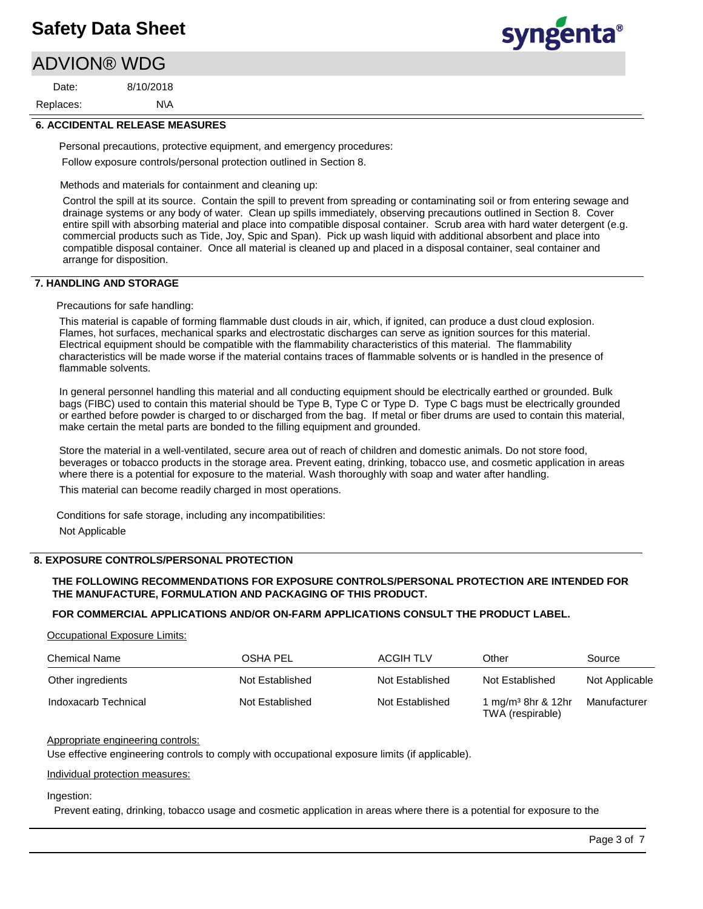# ADVION® WDG

N\A 8/10/2018 Replaces: Date:

syngenta®

## **6. ACCIDENTAL RELEASE MEASURES**

Personal precautions, protective equipment, and emergency procedures: Follow exposure controls/personal protection outlined in Section 8.

Methods and materials for containment and cleaning up:

Control the spill at its source. Contain the spill to prevent from spreading or contaminating soil or from entering sewage and drainage systems or any body of water. Clean up spills immediately, observing precautions outlined in Section 8. Cover entire spill with absorbing material and place into compatible disposal container. Scrub area with hard water detergent (e.g. commercial products such as Tide, Joy, Spic and Span). Pick up wash liquid with additional absorbent and place into compatible disposal container. Once all material is cleaned up and placed in a disposal container, seal container and arrange for disposition.

## **7. HANDLING AND STORAGE**

Precautions for safe handling:

This material is capable of forming flammable dust clouds in air, which, if ignited, can produce a dust cloud explosion. Flames, hot surfaces, mechanical sparks and electrostatic discharges can serve as ignition sources for this material. Electrical equipment should be compatible with the flammability characteristics of this material. The flammability characteristics will be made worse if the material contains traces of flammable solvents or is handled in the presence of flammable solvents.

In general personnel handling this material and all conducting equipment should be electrically earthed or grounded. Bulk bags (FIBC) used to contain this material should be Type B, Type C or Type D. Type C bags must be electrically grounded or earthed before powder is charged to or discharged from the bag. If metal or fiber drums are used to contain this material, make certain the metal parts are bonded to the filling equipment and grounded.

Store the material in a well-ventilated, secure area out of reach of children and domestic animals. Do not store food, beverages or tobacco products in the storage area. Prevent eating, drinking, tobacco use, and cosmetic application in areas where there is a potential for exposure to the material. Wash thoroughly with soap and water after handling.

This material can become readily charged in most operations.

Conditions for safe storage, including any incompatibilities: Not Applicable

## **8. EXPOSURE CONTROLS/PERSONAL PROTECTION**

### **THE FOLLOWING RECOMMENDATIONS FOR EXPOSURE CONTROLS/PERSONAL PROTECTION ARE INTENDED FOR THE MANUFACTURE, FORMULATION AND PACKAGING OF THIS PRODUCT.**

## **FOR COMMERCIAL APPLICATIONS AND/OR ON-FARM APPLICATIONS CONSULT THE PRODUCT LABEL.**

Occupational Exposure Limits:

| <b>Chemical Name</b> | OSHA PEL        | ACGIH TLV       | Other                                              | Source         |
|----------------------|-----------------|-----------------|----------------------------------------------------|----------------|
| Other ingredients    | Not Established | Not Established | Not Established                                    | Not Applicable |
| Indoxacarb Technical | Not Established | Not Established | 1 mg/m <sup>3</sup> 8hr & 12hr<br>TWA (respirable) | Manufacturer   |

## Appropriate engineering controls:

Use effective engineering controls to comply with occupational exposure limits (if applicable).

## Individual protection measures:

Ingestion:

Prevent eating, drinking, tobacco usage and cosmetic application in areas where there is a potential for exposure to the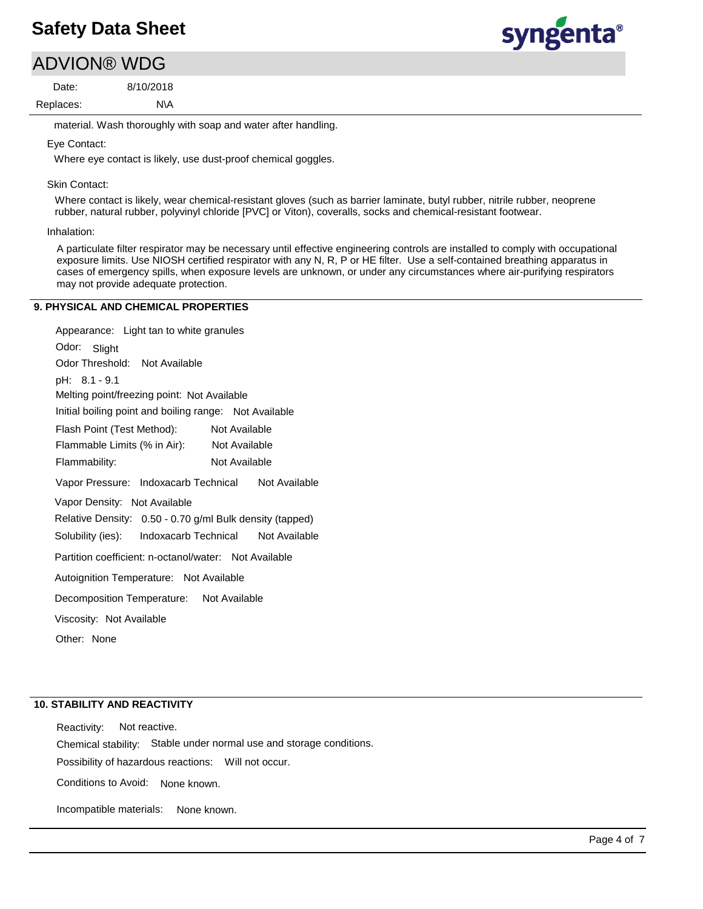## ADVION® WDG

N\A 8/10/2018 Replaces: Date:

material. Wash thoroughly with soap and water after handling.

#### Eye Contact:

Where eye contact is likely, use dust-proof chemical goggles.

#### Skin Contact:

Where contact is likely, wear chemical-resistant gloves (such as barrier laminate, butyl rubber, nitrile rubber, neoprene rubber, natural rubber, polyvinyl chloride [PVC] or Viton), coveralls, socks and chemical-resistant footwear.

#### Inhalation:

A particulate filter respirator may be necessary until effective engineering controls are installed to comply with occupational exposure limits. Use NIOSH certified respirator with any N, R, P or HE filter. Use a self-contained breathing apparatus in cases of emergency spills, when exposure levels are unknown, or under any circumstances where air-purifying respirators may not provide adequate protection.

#### **9. PHYSICAL AND CHEMICAL PROPERTIES**

Odor: Slight Appearance: Light tan to white granules Vapor Pressure: Indoxacarb Technical Not Available Solubility (ies): pH: 8.1 - 9.1 Initial boiling point and boiling range: Not Available Melting point/freezing point: Not Available Odor Threshold: Not Available Not Available Flammability: Not Available Not Available Autoignition Temperature: Not Available Flash Point (Test Method): Flammable Limits (% in Air): Vapor Density: Not Available Relative Density: 0.50 - 0.70 g/ml Bulk density (tapped) Decomposition Temperature: Not Available Viscosity: Not Available Partition coefficient: n-octanol/water: Not Available Other: None Indoxacarb Technical Not Available

#### **10. STABILITY AND REACTIVITY**

Possibility of hazardous reactions: Will not occur. Chemical stability: Stable under normal use and storage conditions. Reactivity: Not reactive. Conditions to Avoid: None known.

Incompatible materials: None known. syngenta®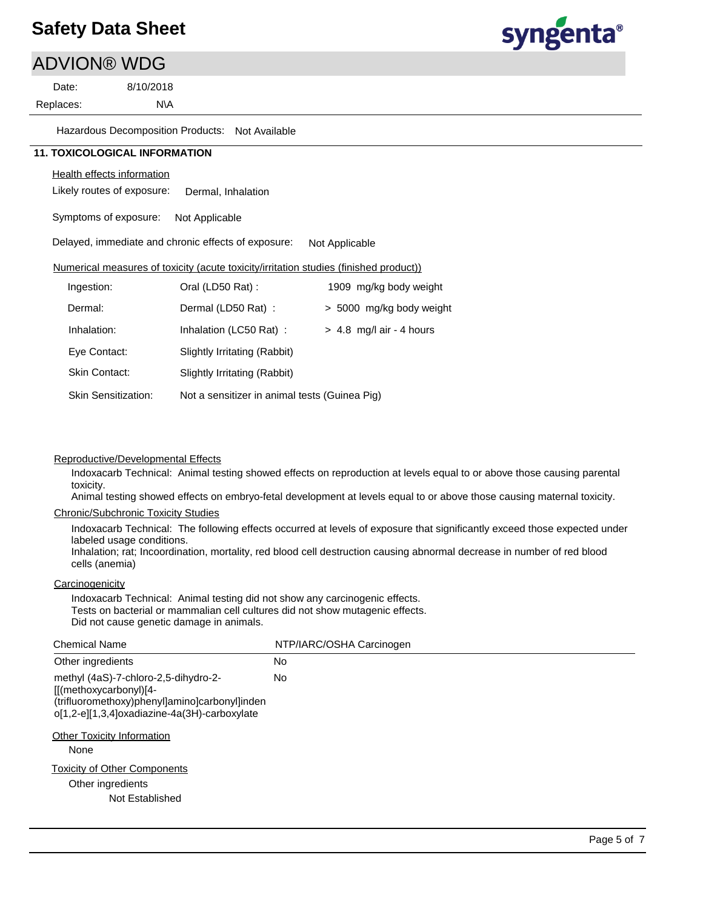# syngenta®

| <b>ADVION® WDG</b>                   |                            |                                                     |                                               |                                                                                       |  |
|--------------------------------------|----------------------------|-----------------------------------------------------|-----------------------------------------------|---------------------------------------------------------------------------------------|--|
| Date:                                | 8/10/2018                  |                                                     |                                               |                                                                                       |  |
| Replaces:                            | N\A                        |                                                     |                                               |                                                                                       |  |
|                                      |                            | Hazardous Decomposition Products: Not Available     |                                               |                                                                                       |  |
| <b>11. TOXICOLOGICAL INFORMATION</b> |                            |                                                     |                                               |                                                                                       |  |
|                                      | Health effects information |                                                     |                                               |                                                                                       |  |
|                                      | Likely routes of exposure: | Dermal. Inhalation                                  |                                               |                                                                                       |  |
|                                      | Symptoms of exposure:      | Not Applicable                                      |                                               |                                                                                       |  |
|                                      |                            | Delayed, immediate and chronic effects of exposure: |                                               | Not Applicable                                                                        |  |
|                                      |                            |                                                     |                                               | Numerical measures of toxicity (acute toxicity/irritation studies (finished product)) |  |
| Ingestion:                           |                            | Oral (LD50 Rat):                                    |                                               | 1909 mg/kg body weight                                                                |  |
| Dermal:                              |                            | Dermal (LD50 Rat):                                  |                                               | > 5000 mg/kg body weight                                                              |  |
| Inhalation:                          |                            | Inhalation (LC50 Rat) :                             |                                               | $> 4.8$ mg/l air - 4 hours                                                            |  |
| Eye Contact:                         |                            | Slightly Irritating (Rabbit)                        |                                               |                                                                                       |  |
| <b>Skin Contact:</b>                 |                            | Slightly Irritating (Rabbit)                        |                                               |                                                                                       |  |
|                                      | <b>Skin Sensitization:</b> |                                                     | Not a sensitizer in animal tests (Guinea Pig) |                                                                                       |  |

#### Reproductive/Developmental Effects

Indoxacarb Technical: Animal testing showed effects on reproduction at levels equal to or above those causing parental toxicity.

Animal testing showed effects on embryo-fetal development at levels equal to or above those causing maternal toxicity.

#### Chronic/Subchronic Toxicity Studies

Indoxacarb Technical: The following effects occurred at levels of exposure that significantly exceed those expected under labeled usage conditions.

Inhalation; rat; Incoordination, mortality, red blood cell destruction causing abnormal decrease in number of red blood cells (anemia)

#### **Carcinogenicity**

Indoxacarb Technical: Animal testing did not show any carcinogenic effects. Tests on bacterial or mammalian cell cultures did not show mutagenic effects. Did not cause genetic damage in animals.

| <b>Chemical Name</b>                                                                                                                                                                                         | NTP/IARC/OSHA Carcinogen |
|--------------------------------------------------------------------------------------------------------------------------------------------------------------------------------------------------------------|--------------------------|
| Other ingredients                                                                                                                                                                                            | No                       |
| methyl (4aS)-7-chloro-2,5-dihydro-2-<br>[[(methoxycarbonyl)[4-<br>(trifluoromethoxy)phenyl]amino]carbonyl]inden<br>o[1,2-e][1,3,4]oxadiazine-4a(3H)-carboxylate<br><b>Other Toxicity Information</b><br>None | No                       |
| <b>Toxicity of Other Components</b><br>Other ingredients<br>Not Established                                                                                                                                  |                          |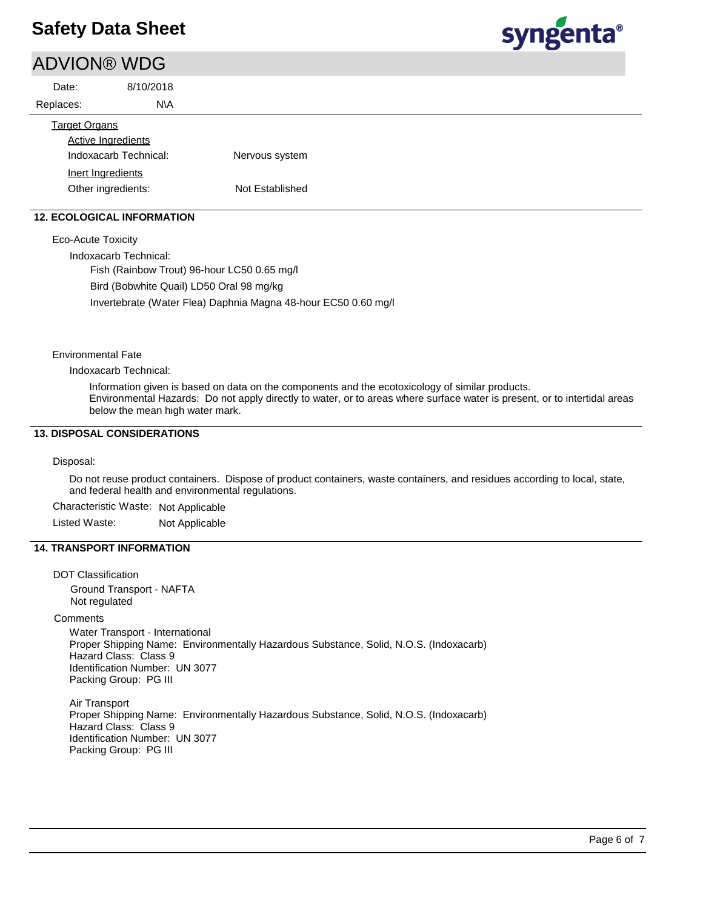## ADVION® WDG

| Date:                 | 8/10/2018                 |                |  |
|-----------------------|---------------------------|----------------|--|
| Replaces:             | N\A                       |                |  |
| <b>Target Organs</b>  |                           |                |  |
|                       | <b>Active Ingredients</b> |                |  |
| Indoxacarb Technical: |                           | Nervous system |  |
|                       | Inert Ingredients         |                |  |

#### **12. ECOLOGICAL INFORMATION**

Eco-Acute Toxicity

Indoxacarb Technical:

Fish (Rainbow Trout) 96-hour LC50 0.65 mg/l Bird (Bobwhite Quail) LD50 Oral 98 mg/kg Invertebrate (Water Flea) Daphnia Magna 48-hour EC50 0.60 mg/l

Other ingredients: Not Established

#### Environmental Fate

Indoxacarb Technical:

Information given is based on data on the components and the ecotoxicology of similar products. Environmental Hazards: Do not apply directly to water, or to areas where surface water is present, or to intertidal areas below the mean high water mark.

#### **13. DISPOSAL CONSIDERATIONS**

#### Disposal:

Do not reuse product containers. Dispose of product containers, waste containers, and residues according to local, state, and federal health and environmental regulations.

Characteristic Waste: Not Applicable Listed Waste: Not Applicable

#### **14. TRANSPORT INFORMATION**

DOT Classification Ground Transport - NAFTA Not regulated **Comments** Water Transport - International Proper Shipping Name: Environmentally Hazardous Substance, Solid, N.O.S. (Indoxacarb) Hazard Class: Class 9 Identification Number: UN 3077 Packing Group: PG III Air Transport

Proper Shipping Name: Environmentally Hazardous Substance, Solid, N.O.S. (Indoxacarb) Hazard Class: Class 9 Identification Number: UN 3077 Packing Group: PG III

syngenta®